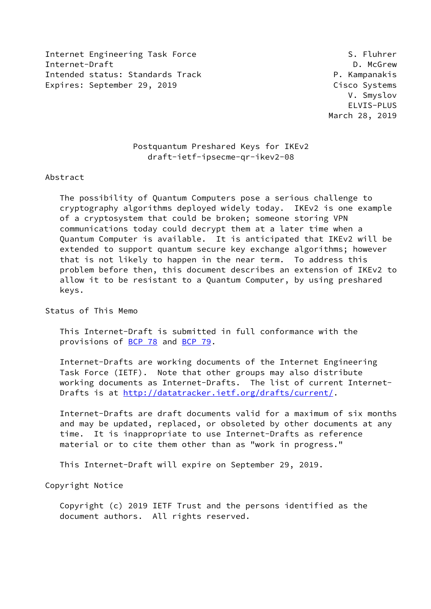Internet Engineering Task Force S. Fluhrer Internet-Draft **D. McGrew** Intended status: Standards Track P. Kampanakis Expires: September 29, 2019 Cisco Systems

 V. Smyslov ELVIS-PLUS March 28, 2019

# Postquantum Preshared Keys for IKEv2 draft-ietf-ipsecme-qr-ikev2-08

#### Abstract

 The possibility of Quantum Computers pose a serious challenge to cryptography algorithms deployed widely today. IKEv2 is one example of a cryptosystem that could be broken; someone storing VPN communications today could decrypt them at a later time when a Quantum Computer is available. It is anticipated that IKEv2 will be extended to support quantum secure key exchange algorithms; however that is not likely to happen in the near term. To address this problem before then, this document describes an extension of IKEv2 to allow it to be resistant to a Quantum Computer, by using preshared keys.

Status of This Memo

 This Internet-Draft is submitted in full conformance with the provisions of [BCP 78](https://datatracker.ietf.org/doc/pdf/bcp78) and [BCP 79](https://datatracker.ietf.org/doc/pdf/bcp79).

 Internet-Drafts are working documents of the Internet Engineering Task Force (IETF). Note that other groups may also distribute working documents as Internet-Drafts. The list of current Internet Drafts is at<http://datatracker.ietf.org/drafts/current/>.

 Internet-Drafts are draft documents valid for a maximum of six months and may be updated, replaced, or obsoleted by other documents at any time. It is inappropriate to use Internet-Drafts as reference material or to cite them other than as "work in progress."

This Internet-Draft will expire on September 29, 2019.

Copyright Notice

 Copyright (c) 2019 IETF Trust and the persons identified as the document authors. All rights reserved.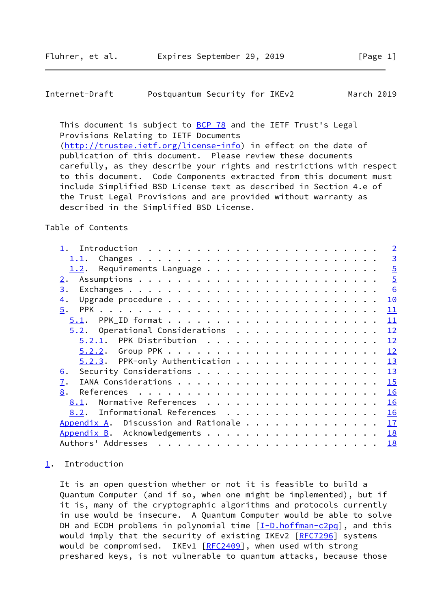## <span id="page-1-1"></span>Internet-Draft Postquantum Security for IKEv2 March 2019

This document is subject to [BCP 78](https://datatracker.ietf.org/doc/pdf/bcp78) and the IETF Trust's Legal Provisions Relating to IETF Documents [\(http://trustee.ietf.org/license-info](http://trustee.ietf.org/license-info)) in effect on the date of publication of this document. Please review these documents carefully, as they describe your rights and restrictions with respect to this document. Code Components extracted from this document must include Simplified BSD License text as described in Section 4.e of the Trust Legal Provisions and are provided without warranty as described in the Simplified BSD License.

## Table of Contents

|                                      |  |  | $\overline{2}$ |
|--------------------------------------|--|--|----------------|
| 1.1.                                 |  |  | $\overline{3}$ |
| 1.2.                                 |  |  | $\overline{5}$ |
| 2.                                   |  |  | $\overline{5}$ |
| 3.                                   |  |  | 6              |
| $\overline{4}$ .                     |  |  | 10             |
| 5.                                   |  |  | 11             |
| 5.1.                                 |  |  | 11             |
| $5.2.$ Operational Considerations    |  |  | 12             |
| $5.2.1$ . PPK Distribution           |  |  | 12             |
|                                      |  |  | 12             |
| $5.2.3$ . PPK-only Authentication    |  |  | 13             |
| <u>6</u> .                           |  |  | 13             |
| $\overline{1}$ .                     |  |  | 15             |
| 8.                                   |  |  | 16             |
| Normative References<br>8.1.         |  |  | 16             |
| Informational References<br>8.2.     |  |  | 16             |
| Appendix A. Discussion and Rationale |  |  | 17             |
|                                      |  |  | 18             |
|                                      |  |  | 18             |

# <span id="page-1-0"></span>[1](#page-1-0). Introduction

 It is an open question whether or not it is feasible to build a Quantum Computer (and if so, when one might be implemented), but if it is, many of the cryptographic algorithms and protocols currently in use would be insecure. A Quantum Computer would be able to solve DH and ECDH problems in polynomial time  $[I-D.hoffman-c2pq]$  $[I-D.hoffman-c2pq]$ , and this would imply that the security of existing IKEv2 [\[RFC7296](https://datatracker.ietf.org/doc/pdf/rfc7296)] systems would be compromised. IKEv1 [\[RFC2409](https://datatracker.ietf.org/doc/pdf/rfc2409)], when used with strong preshared keys, is not vulnerable to quantum attacks, because those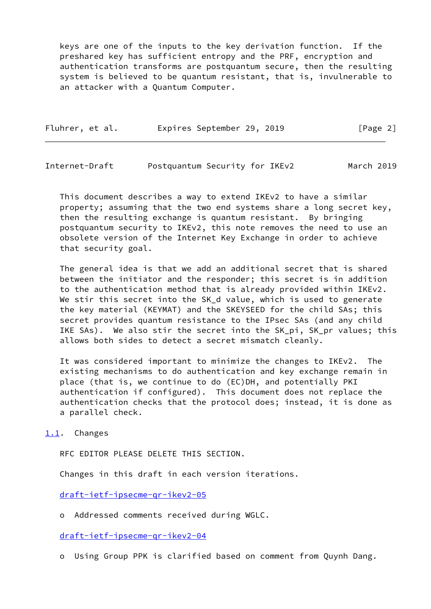keys are one of the inputs to the key derivation function. If the preshared key has sufficient entropy and the PRF, encryption and authentication transforms are postquantum secure, then the resulting system is believed to be quantum resistant, that is, invulnerable to an attacker with a Quantum Computer.

|  | Fluhrer, et al. |  | Expires September 29, 2019 |  |  | [Page 2] |  |  |
|--|-----------------|--|----------------------------|--|--|----------|--|--|
|--|-----------------|--|----------------------------|--|--|----------|--|--|

<span id="page-2-1"></span>Internet-Draft Postquantum Security for IKEv2 March 2019

 This document describes a way to extend IKEv2 to have a similar property; assuming that the two end systems share a long secret key, then the resulting exchange is quantum resistant. By bringing postquantum security to IKEv2, this note removes the need to use an obsolete version of the Internet Key Exchange in order to achieve that security goal.

 The general idea is that we add an additional secret that is shared between the initiator and the responder; this secret is in addition to the authentication method that is already provided within IKEv2. We stir this secret into the SK\_d value, which is used to generate the key material (KEYMAT) and the SKEYSEED for the child SAs; this secret provides quantum resistance to the IPsec SAs (and any child IKE SAs). We also stir the secret into the SK\_pi, SK\_pr values; this allows both sides to detect a secret mismatch cleanly.

 It was considered important to minimize the changes to IKEv2. The existing mechanisms to do authentication and key exchange remain in place (that is, we continue to do (EC)DH, and potentially PKI authentication if configured). This document does not replace the authentication checks that the protocol does; instead, it is done as a parallel check.

<span id="page-2-0"></span>[1.1](#page-2-0). Changes

RFC EDITOR PLEASE DELETE THIS SECTION.

Changes in this draft in each version iterations.

[draft-ietf-ipsecme-qr-ikev2-05](https://datatracker.ietf.org/doc/pdf/draft-ietf-ipsecme-qr-ikev2-05)

o Addressed comments received during WGLC.

[draft-ietf-ipsecme-qr-ikev2-04](https://datatracker.ietf.org/doc/pdf/draft-ietf-ipsecme-qr-ikev2-04)

o Using Group PPK is clarified based on comment from Quynh Dang.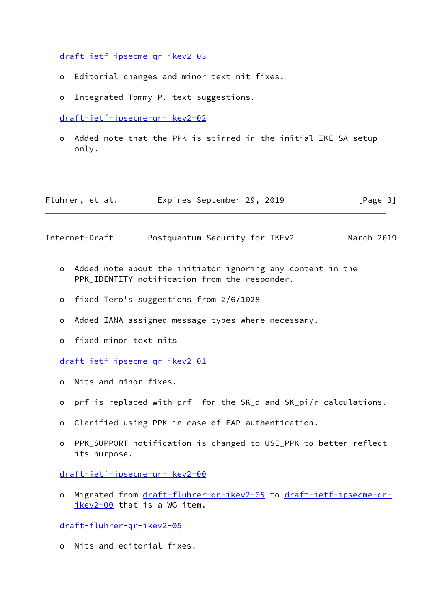[draft-ietf-ipsecme-qr-ikev2-03](https://datatracker.ietf.org/doc/pdf/draft-ietf-ipsecme-qr-ikev2-03)

- o Editorial changes and minor text nit fixes.
- o Integrated Tommy P. text suggestions.

[draft-ietf-ipsecme-qr-ikev2-02](https://datatracker.ietf.org/doc/pdf/draft-ietf-ipsecme-qr-ikev2-02)

 o Added note that the PPK is stirred in the initial IKE SA setup only.

| Fluhrer, et al. |  | Expires September 29, 2019 |  |  | [Page 3] |  |
|-----------------|--|----------------------------|--|--|----------|--|
|-----------------|--|----------------------------|--|--|----------|--|

Internet-Draft Postquantum Security for IKEv2 March 2019

- o Added note about the initiator ignoring any content in the PPK IDENTITY notification from the responder.
- o fixed Tero's suggestions from 2/6/1028
- o Added IANA assigned message types where necessary.
- o fixed minor text nits

[draft-ietf-ipsecme-qr-ikev2-01](https://datatracker.ietf.org/doc/pdf/draft-ietf-ipsecme-qr-ikev2-01)

- o Nits and minor fixes.
- o prf is replaced with prf+ for the SK\_d and SK\_pi/r calculations.
- o Clarified using PPK in case of EAP authentication.
- o PPK\_SUPPORT notification is changed to USE\_PPK to better reflect its purpose.

[draft-ietf-ipsecme-qr-ikev2-00](https://datatracker.ietf.org/doc/pdf/draft-ietf-ipsecme-qr-ikev2-00)

o Migrated from [draft-fluhrer-qr-ikev2-05](https://datatracker.ietf.org/doc/pdf/draft-fluhrer-qr-ikev2-05) to [draft-ietf-ipsecme-qr](https://datatracker.ietf.org/doc/pdf/draft-ietf-ipsecme-qr-ikev2-00) [ikev2-00](https://datatracker.ietf.org/doc/pdf/draft-ietf-ipsecme-qr-ikev2-00) that is a WG item.

[draft-fluhrer-qr-ikev2-05](https://datatracker.ietf.org/doc/pdf/draft-fluhrer-qr-ikev2-05)

o Nits and editorial fixes.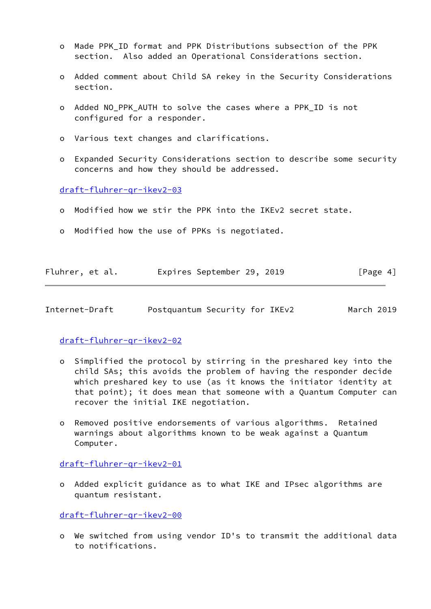- o Made PPK\_ID format and PPK Distributions subsection of the PPK section. Also added an Operational Considerations section.
- o Added comment about Child SA rekey in the Security Considerations section.
- o Added NO\_PPK\_AUTH to solve the cases where a PPK\_ID is not configured for a responder.
- o Various text changes and clarifications.
- o Expanded Security Considerations section to describe some security concerns and how they should be addressed.

[draft-fluhrer-qr-ikev2-03](https://datatracker.ietf.org/doc/pdf/draft-fluhrer-qr-ikev2-03)

- o Modified how we stir the PPK into the IKEv2 secret state.
- o Modified how the use of PPKs is negotiated.

| Fluhrer, et al. | Expires September 29, 2019 |  | [Page 4] |  |
|-----------------|----------------------------|--|----------|--|
|                 |                            |  |          |  |

<span id="page-4-0"></span>Internet-Draft Postquantum Security for IKEv2 March 2019

# [draft-fluhrer-qr-ikev2-02](https://datatracker.ietf.org/doc/pdf/draft-fluhrer-qr-ikev2-02)

- o Simplified the protocol by stirring in the preshared key into the child SAs; this avoids the problem of having the responder decide which preshared key to use (as it knows the initiator identity at that point); it does mean that someone with a Quantum Computer can recover the initial IKE negotiation.
- o Removed positive endorsements of various algorithms. Retained warnings about algorithms known to be weak against a Quantum Computer.

[draft-fluhrer-qr-ikev2-01](https://datatracker.ietf.org/doc/pdf/draft-fluhrer-qr-ikev2-01)

 o Added explicit guidance as to what IKE and IPsec algorithms are quantum resistant.

[draft-fluhrer-qr-ikev2-00](https://datatracker.ietf.org/doc/pdf/draft-fluhrer-qr-ikev2-00)

 o We switched from using vendor ID's to transmit the additional data to notifications.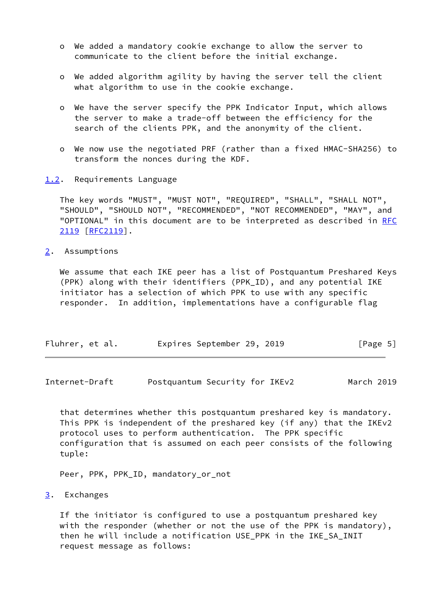- o We added a mandatory cookie exchange to allow the server to communicate to the client before the initial exchange.
- o We added algorithm agility by having the server tell the client what algorithm to use in the cookie exchange.
- o We have the server specify the PPK Indicator Input, which allows the server to make a trade-off between the efficiency for the search of the clients PPK, and the anonymity of the client.
- o We now use the negotiated PRF (rather than a fixed HMAC-SHA256) to transform the nonces during the KDF.
- <span id="page-5-0"></span>[1.2](#page-5-0). Requirements Language

 The key words "MUST", "MUST NOT", "REQUIRED", "SHALL", "SHALL NOT", "SHOULD", "SHOULD NOT", "RECOMMENDED", "NOT RECOMMENDED", "MAY", and "OPTIONAL" in this document are to be interpreted as described in [RFC](https://datatracker.ietf.org/doc/pdf/rfc2119) [2119](https://datatracker.ietf.org/doc/pdf/rfc2119) [\[RFC2119](https://datatracker.ietf.org/doc/pdf/rfc2119)].

<span id="page-5-1"></span>[2](#page-5-1). Assumptions

 We assume that each IKE peer has a list of Postquantum Preshared Keys (PPK) along with their identifiers (PPK\_ID), and any potential IKE initiator has a selection of which PPK to use with any specific responder. In addition, implementations have a configurable flag

| Fluhrer, et al. |  | Expires September 29, 2019 |  |  |  | [Page 5] |  |
|-----------------|--|----------------------------|--|--|--|----------|--|
|-----------------|--|----------------------------|--|--|--|----------|--|

<span id="page-5-3"></span>Internet-Draft Postquantum Security for IKEv2 March 2019

 that determines whether this postquantum preshared key is mandatory. This PPK is independent of the preshared key (if any) that the IKEv2 protocol uses to perform authentication. The PPK specific configuration that is assumed on each peer consists of the following tuple:

Peer, PPK, PPK\_ID, mandatory\_or\_not

<span id="page-5-2"></span>[3](#page-5-2). Exchanges

 If the initiator is configured to use a postquantum preshared key with the responder (whether or not the use of the PPK is mandatory), then he will include a notification USE PPK in the IKE SA INIT request message as follows: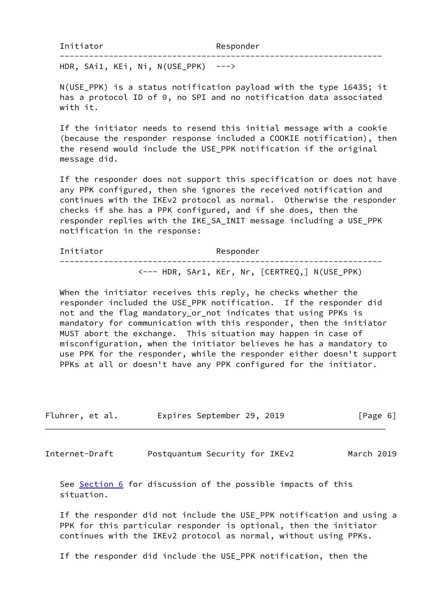HDR, SAi1, KEi, Ni, N(USE PPK)  $--->$ 

 N(USE\_PPK) is a status notification payload with the type 16435; it has a protocol ID of 0, no SPI and no notification data associated with it.

------------------------------------------------------------------

 If the initiator needs to resend this initial message with a cookie (because the responder response included a COOKIE notification), then the resend would include the USE\_PPK notification if the original message did.

 If the responder does not support this specification or does not have any PPK configured, then she ignores the received notification and continues with the IKEv2 protocol as normal. Otherwise the responder checks if she has a PPK configured, and if she does, then the responder replies with the IKE\_SA\_INIT message including a USE\_PPK notification in the response:

Initiator Responder ------------------------------------------------------------------ <--- HDR, SAr1, KEr, Nr, [CERTREQ,] N(USE\_PPK)

 When the initiator receives this reply, he checks whether the responder included the USE\_PPK notification. If the responder did not and the flag mandatory\_or\_not indicates that using PPKs is mandatory for communication with this responder, then the initiator MUST abort the exchange. This situation may happen in case of misconfiguration, when the initiator believes he has a mandatory to use PPK for the responder, while the responder either doesn't support PPKs at all or doesn't have any PPK configured for the initiator.

| Fluhrer, et al. | Expires September 29, 2019 |  | [Page 6] |  |
|-----------------|----------------------------|--|----------|--|
|                 |                            |  |          |  |

Internet-Draft Postquantum Security for IKEv2 March 2019

See <u>Section 6</u> for discussion of the possible impacts of this situation.

 If the responder did not include the USE\_PPK notification and using a PPK for this particular responder is optional, then the initiator continues with the IKEv2 protocol as normal, without using PPKs.

If the responder did include the USE\_PPK notification, then the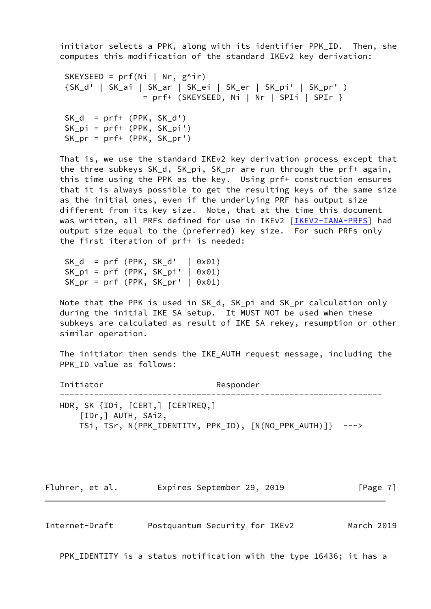initiator selects a PPK, along with its identifier PPK\_ID. Then, she computes this modification of the standard IKEv2 key derivation:

```
SKEYSEED = prf(Ni | Nr, g^{\wedge}ir) {SK_d' | SK_ai | SK_ar | SK_ei | SK_er | SK_pi' | SK_pr' )
                = prf+ (SKEYSEED, Ni | Nr | SPIi | SPIr }
SK_d = prf+ (PPK, SK_d') SK_pi = prf+ (PPK, SK_pi')
 SK_pr = prf+ (PPK, SK_pr')
```
 That is, we use the standard IKEv2 key derivation process except that the three subkeys SK\_d, SK\_pi, SK\_pr are run through the prf+ again, this time using the PPK as the key. Using prf+ construction ensures that it is always possible to get the resulting keys of the same size as the initial ones, even if the underlying PRF has output size different from its key size. Note, that at the time this document was written, all PRFs defined for use in IKEv2 [\[IKEV2-IANA-PRFS](#page-17-5)] had output size equal to the (preferred) key size. For such PRFs only the first iteration of prf+ is needed:

 $SK_d = prf (PPK, SK_d' | 0x01)$  $SK\_pi = prf (PPK, SK\_pi' | 0x01)$  $SK_pr = prf (PPK, SK_pr' | 0x01)$ 

 Note that the PPK is used in SK\_d, SK\_pi and SK\_pr calculation only during the initial IKE SA setup. It MUST NOT be used when these subkeys are calculated as result of IKE SA rekey, resumption or other similar operation.

 The initiator then sends the IKE\_AUTH request message, including the PPK ID value as follows:

Initiator Responder ------------------------------------------------------------------ HDR, SK {IDi, [CERT,] [CERTREQ,] [IDr,] AUTH, SAi2, TSi, TSr, N(PPK\_IDENTITY, PPK\_ID), [N(NO\_PPK\_AUTH)]} --->

Fluhrer, et al. Expires September 29, 2019 [Page 7]

Internet-Draft Postquantum Security for IKEv2 March 2019

PPK\_IDENTITY is a status notification with the type 16436; it has a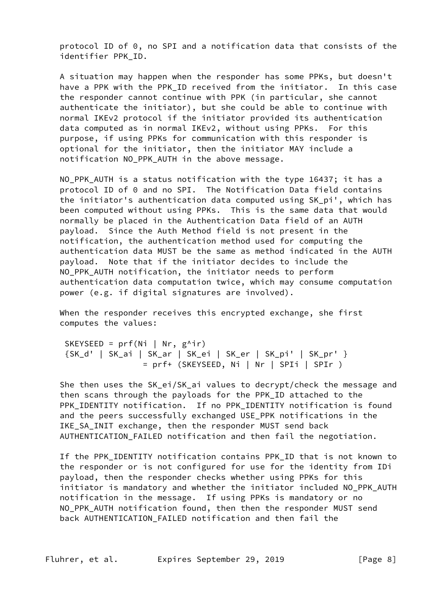protocol ID of 0, no SPI and a notification data that consists of the identifier PPK\_ID.

 A situation may happen when the responder has some PPKs, but doesn't have a PPK with the PPK ID received from the initiator. In this case the responder cannot continue with PPK (in particular, she cannot authenticate the initiator), but she could be able to continue with normal IKEv2 protocol if the initiator provided its authentication data computed as in normal IKEv2, without using PPKs. For this purpose, if using PPKs for communication with this responder is optional for the initiator, then the initiator MAY include a notification NO\_PPK\_AUTH in the above message.

 NO\_PPK\_AUTH is a status notification with the type 16437; it has a protocol ID of 0 and no SPI. The Notification Data field contains the initiator's authentication data computed using SK\_pi', which has been computed without using PPKs. This is the same data that would normally be placed in the Authentication Data field of an AUTH payload. Since the Auth Method field is not present in the notification, the authentication method used for computing the authentication data MUST be the same as method indicated in the AUTH payload. Note that if the initiator decides to include the NO PPK AUTH notification, the initiator needs to perform authentication data computation twice, which may consume computation power (e.g. if digital signatures are involved).

When the responder receives this encrypted exchange, she first computes the values:

SKEYSEED =  $prf(Ni | Nr, g^{\wedge}ir)$  {SK\_d' | SK\_ai | SK\_ar | SK\_ei | SK\_er | SK\_pi' | SK\_pr' } = prf+ (SKEYSEED, Ni | Nr | SPIi | SPIr )

 She then uses the SK\_ei/SK\_ai values to decrypt/check the message and then scans through the payloads for the PPK\_ID attached to the PPK\_IDENTITY notification. If no PPK\_IDENTITY notification is found and the peers successfully exchanged USE PPK notifications in the IKE\_SA\_INIT exchange, then the responder MUST send back AUTHENTICATION FAILED notification and then fail the negotiation.

 If the PPK\_IDENTITY notification contains PPK\_ID that is not known to the responder or is not configured for use for the identity from IDi payload, then the responder checks whether using PPKs for this initiator is mandatory and whether the initiator included NO\_PPK\_AUTH notification in the message. If using PPKs is mandatory or no NO\_PPK\_AUTH notification found, then then the responder MUST send back AUTHENTICATION\_FAILED notification and then fail the

Fluhrer, et al. **Expires September 29, 2019**[Page 8]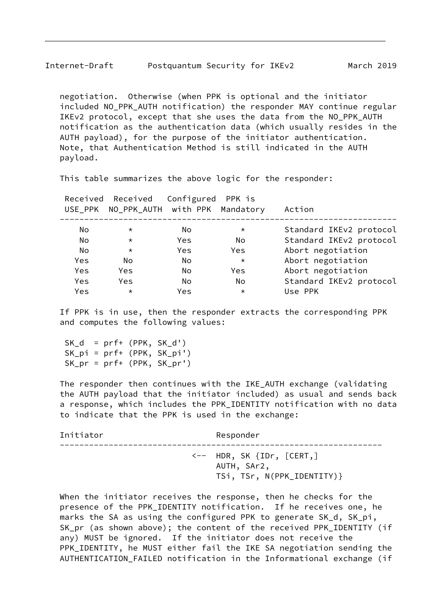negotiation. Otherwise (when PPK is optional and the initiator included NO\_PPK\_AUTH notification) the responder MAY continue regular IKEv2 protocol, except that she uses the data from the NO\_PPK\_AUTH notification as the authentication data (which usually resides in the AUTH payload), for the purpose of the initiator authentication. Note, that Authentication Method is still indicated in the AUTH payload.

This table summarizes the above logic for the responder:

|            | Received Received Configured PPK is<br>USE_PPK NO_PPK_AUTH with PPK Mandatory |      |            | Action                  |
|------------|-------------------------------------------------------------------------------|------|------------|-------------------------|
| No         | $\star$                                                                       | No.  | $\star$    | Standard IKEv2 protocol |
| No         | $\star$                                                                       | Yes. | No.        | Standard IKEv2 protocol |
| No         | $\star$                                                                       | Yes  | Yes        | Abort negotiation       |
| Yes        | No                                                                            | No.  | $\star$    | Abort negotiation       |
| Yes        | <b>Yes</b>                                                                    | No.  | <b>Yes</b> | Abort negotiation       |
| <b>Yes</b> | Yes                                                                           | No   | No.        | Standard IKEv2 protocol |
| Yes        | $\star$                                                                       | Yes  | $\star$    | Use PPK                 |
|            |                                                                               |      |            |                         |

 If PPK is in use, then the responder extracts the corresponding PPK and computes the following values:

SK  $d = prf+ (PPK, SKd')$  SK\_pi = prf+ (PPK, SK\_pi') SK\_pr = prf+ (PPK, SK\_pr')

 The responder then continues with the IKE\_AUTH exchange (validating the AUTH payload that the initiator included) as usual and sends back a response, which includes the PPK\_IDENTITY notification with no data to indicate that the PPK is used in the exchange:

| Initiator | Responder                                                                              |
|-----------|----------------------------------------------------------------------------------------|
|           | $\leftarrow$ HDR, SK $\{IDr, \; [CERT, ]$<br>AUTH, SAr2,<br>TSi, TSr, N(PPK_IDENTITY)} |

 When the initiator receives the response, then he checks for the presence of the PPK\_IDENTITY notification. If he receives one, he marks the SA as using the configured PPK to generate SK\_d, SK\_pi, SK\_pr (as shown above); the content of the received PPK\_IDENTITY (if any) MUST be ignored. If the initiator does not receive the PPK\_IDENTITY, he MUST either fail the IKE SA negotiation sending the AUTHENTICATION\_FAILED notification in the Informational exchange (if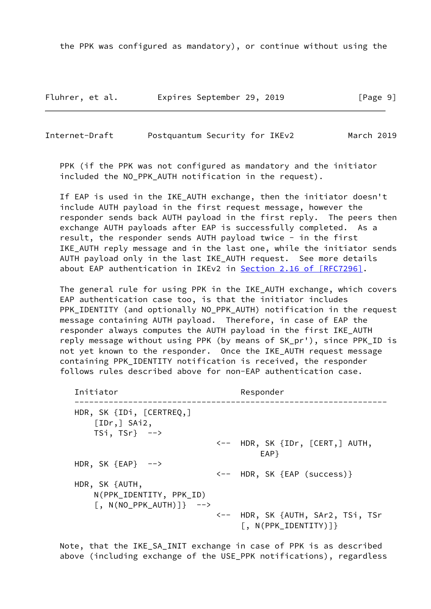the PPK was configured as mandatory), or continue without using the

Fluhrer, et al. Expires September 29, 2019 [Page 9]

<span id="page-10-0"></span>Internet-Draft Postquantum Security for IKEv2 March 2019

 PPK (if the PPK was not configured as mandatory and the initiator included the NO\_PPK\_AUTH notification in the request).

 If EAP is used in the IKE\_AUTH exchange, then the initiator doesn't include AUTH payload in the first request message, however the responder sends back AUTH payload in the first reply. The peers then exchange AUTH payloads after EAP is successfully completed. As a result, the responder sends AUTH payload twice - in the first IKE\_AUTH reply message and in the last one, while the initiator sends AUTH payload only in the last IKE\_AUTH request. See more details about EAP authentication in IKEv2 in Section [2.16 of \[RFC7296\]](https://datatracker.ietf.org/doc/pdf/rfc7296#section-2.16).

 The general rule for using PPK in the IKE\_AUTH exchange, which covers EAP authentication case too, is that the initiator includes PPK IDENTITY (and optionally NO PPK AUTH) notification in the request message containing AUTH payload. Therefore, in case of EAP the responder always computes the AUTH payload in the first IKE\_AUTH reply message without using PPK (by means of SK\_pr'), since PPK\_ID is not yet known to the responder. Once the IKE\_AUTH request message containing PPK\_IDENTITY notification is received, the responder follows rules described above for non-EAP authentication case.

| Initiator                                                                             | Responder                                                         |
|---------------------------------------------------------------------------------------|-------------------------------------------------------------------|
| HDR, SK $\{IDi, \; [CERTREQ, ]$<br>[IDr, ] Shi2,<br>$TSi, TSr} \quad -- \rightarrow$  |                                                                   |
|                                                                                       | $\leftarrow$ HDR, SK $\{IDr, \; [CERT,]$ AUTH,<br>EAP }           |
| HDR, SK ${EAP}$ -->                                                                   |                                                                   |
| HDR, SK {AUTH,<br>N(PPK_IDENTITY, PPK_ID)<br>$\lceil$ , N(NO_PPK_AUTH) $\rceil$ } --> | <-- HDR, SK {EAP (success)}                                       |
|                                                                                       | <-- HDR, SK {AUTH, SAr2, TSi, TSr<br>$\lceil$ , N(PPK_IDENTITY)]} |

 Note, that the IKE\_SA\_INIT exchange in case of PPK is as described above (including exchange of the USE\_PPK notifications), regardless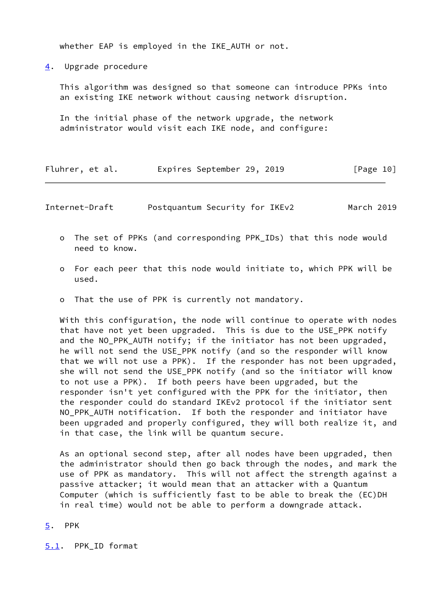whether EAP is employed in the IKE\_AUTH or not.

<span id="page-11-0"></span>[4](#page-11-0). Upgrade procedure

 This algorithm was designed so that someone can introduce PPKs into an existing IKE network without causing network disruption.

 In the initial phase of the network upgrade, the network administrator would visit each IKE node, and configure:

| Fluhrer, et al. |  | Expires September 29, 2019 |  |  | [Page 10] |  |
|-----------------|--|----------------------------|--|--|-----------|--|
|-----------------|--|----------------------------|--|--|-----------|--|

<span id="page-11-2"></span>Internet-Draft Postquantum Security for IKEv2 March 2019

- o The set of PPKs (and corresponding PPK\_IDs) that this node would need to know.
- o For each peer that this node would initiate to, which PPK will be used.
- o That the use of PPK is currently not mandatory.

 With this configuration, the node will continue to operate with nodes that have not yet been upgraded. This is due to the USE\_PPK notify and the NO\_PPK\_AUTH notify; if the initiator has not been upgraded, he will not send the USE\_PPK notify (and so the responder will know that we will not use a PPK). If the responder has not been upgraded, she will not send the USE\_PPK notify (and so the initiator will know to not use a PPK). If both peers have been upgraded, but the responder isn't yet configured with the PPK for the initiator, then the responder could do standard IKEv2 protocol if the initiator sent NO PPK AUTH notification. If both the responder and initiator have been upgraded and properly configured, they will both realize it, and in that case, the link will be quantum secure.

 As an optional second step, after all nodes have been upgraded, then the administrator should then go back through the nodes, and mark the use of PPK as mandatory. This will not affect the strength against a passive attacker; it would mean that an attacker with a Quantum Computer (which is sufficiently fast to be able to break the (EC)DH in real time) would not be able to perform a downgrade attack.

<span id="page-11-1"></span>[5](#page-11-1). PPK

<span id="page-11-3"></span>[5.1](#page-11-3). PPK\_ID format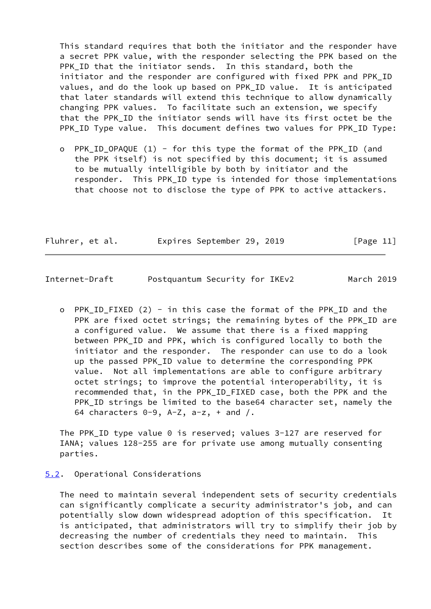This standard requires that both the initiator and the responder have a secret PPK value, with the responder selecting the PPK based on the PPK ID that the initiator sends. In this standard, both the initiator and the responder are configured with fixed PPK and PPK\_ID values, and do the look up based on PPK\_ID value. It is anticipated that later standards will extend this technique to allow dynamically changing PPK values. To facilitate such an extension, we specify that the PPK\_ID the initiator sends will have its first octet be the PPK\_ID Type value. This document defines two values for PPK\_ID Type:

 o PPK\_ID\_OPAQUE (1) - for this type the format of the PPK\_ID (and the PPK itself) is not specified by this document; it is assumed to be mutually intelligible by both by initiator and the responder. This PPK\_ID type is intended for those implementations that choose not to disclose the type of PPK to active attackers.

| Fluhrer, et al. | Expires September 29, 2019 |  | [Page 11] |  |
|-----------------|----------------------------|--|-----------|--|
|                 |                            |  |           |  |

<span id="page-12-1"></span>Internet-Draft Postquantum Security for IKEv2 March 2019

o PPK ID FIXED (2) - in this case the format of the PPK ID and the PPK are fixed octet strings; the remaining bytes of the PPK\_ID are a configured value. We assume that there is a fixed mapping between PPK\_ID and PPK, which is configured locally to both the initiator and the responder. The responder can use to do a look up the passed PPK\_ID value to determine the corresponding PPK value. Not all implementations are able to configure arbitrary octet strings; to improve the potential interoperability, it is recommended that, in the PPK\_ID\_FIXED case, both the PPK and the PPK\_ID strings be limited to the base64 character set, namely the 64 characters  $0-9$ ,  $A-Z$ ,  $a-z$ ,  $+$  and  $/$ .

 The PPK\_ID type value 0 is reserved; values 3-127 are reserved for IANA; values 128-255 are for private use among mutually consenting parties.

#### <span id="page-12-0"></span>[5.2](#page-12-0). Operational Considerations

 The need to maintain several independent sets of security credentials can significantly complicate a security administrator's job, and can potentially slow down widespread adoption of this specification. It is anticipated, that administrators will try to simplify their job by decreasing the number of credentials they need to maintain. This section describes some of the considerations for PPK management.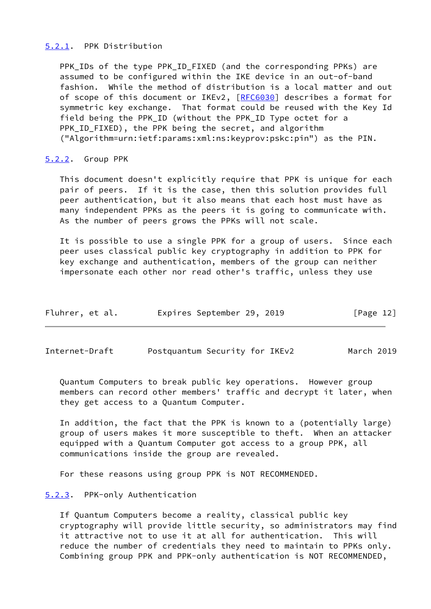## <span id="page-13-0"></span>[5.2.1](#page-13-0). PPK Distribution

PPK IDs of the type PPK ID FIXED (and the corresponding PPKs) are assumed to be configured within the IKE device in an out-of-band fashion. While the method of distribution is a local matter and out of scope of this document or IKEv2, [\[RFC6030](https://datatracker.ietf.org/doc/pdf/rfc6030)] describes a format for symmetric key exchange. That format could be reused with the Key Id field being the PPK\_ID (without the PPK\_ID Type octet for a PPK\_ID\_FIXED), the PPK being the secret, and algorithm ("Algorithm=urn:ietf:params:xml:ns:keyprov:pskc:pin") as the PIN.

## <span id="page-13-1"></span>[5.2.2](#page-13-1). Group PPK

 This document doesn't explicitly require that PPK is unique for each pair of peers. If it is the case, then this solution provides full peer authentication, but it also means that each host must have as many independent PPKs as the peers it is going to communicate with. As the number of peers grows the PPKs will not scale.

 It is possible to use a single PPK for a group of users. Since each peer uses classical public key cryptography in addition to PPK for key exchange and authentication, members of the group can neither impersonate each other nor read other's traffic, unless they use

| Fluhrer, et al. |  | Expires September 29, 2019 |  |  | [Page 12] |  |
|-----------------|--|----------------------------|--|--|-----------|--|
|-----------------|--|----------------------------|--|--|-----------|--|

<span id="page-13-3"></span>Internet-Draft Postquantum Security for IKEv2 March 2019

 Quantum Computers to break public key operations. However group members can record other members' traffic and decrypt it later, when they get access to a Quantum Computer.

 In addition, the fact that the PPK is known to a (potentially large) group of users makes it more susceptible to theft. When an attacker equipped with a Quantum Computer got access to a group PPK, all communications inside the group are revealed.

For these reasons using group PPK is NOT RECOMMENDED.

## <span id="page-13-2"></span>[5.2.3](#page-13-2). PPK-only Authentication

 If Quantum Computers become a reality, classical public key cryptography will provide little security, so administrators may find it attractive not to use it at all for authentication. This will reduce the number of credentials they need to maintain to PPKs only. Combining group PPK and PPK-only authentication is NOT RECOMMENDED,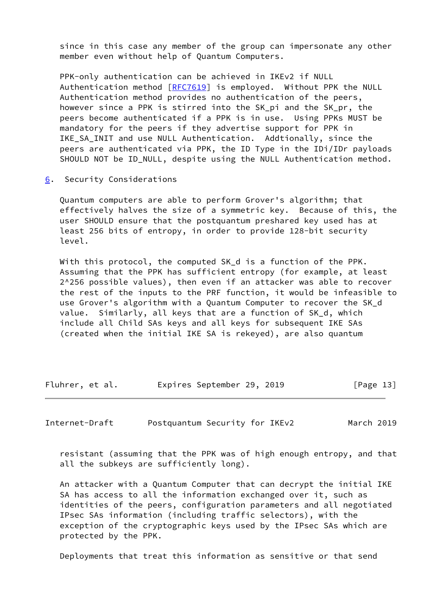since in this case any member of the group can impersonate any other member even without help of Quantum Computers.

 PPK-only authentication can be achieved in IKEv2 if NULL Authentication method [[RFC7619](https://datatracker.ietf.org/doc/pdf/rfc7619)] is employed. Without PPK the NULL Authentication method provides no authentication of the peers, however since a PPK is stirred into the SK pi and the SK pr, the peers become authenticated if a PPK is in use. Using PPKs MUST be mandatory for the peers if they advertise support for PPK in IKE SA INIT and use NULL Authentication. Addtionally, since the peers are authenticated via PPK, the ID Type in the IDi/IDr payloads SHOULD NOT be ID\_NULL, despite using the NULL Authentication method.

<span id="page-14-0"></span>[6](#page-14-0). Security Considerations

 Quantum computers are able to perform Grover's algorithm; that effectively halves the size of a symmetric key. Because of this, the user SHOULD ensure that the postquantum preshared key used has at least 256 bits of entropy, in order to provide 128-bit security level.

 With this protocol, the computed SK\_d is a function of the PPK. Assuming that the PPK has sufficient entropy (for example, at least 2^256 possible values), then even if an attacker was able to recover the rest of the inputs to the PRF function, it would be infeasible to use Grover's algorithm with a Quantum Computer to recover the SK\_d value. Similarly, all keys that are a function of SK\_d, which include all Child SAs keys and all keys for subsequent IKE SAs (created when the initial IKE SA is rekeyed), are also quantum

Fluhrer, et al. Expires September 29, 2019 [Page 13]

Internet-Draft Postquantum Security for IKEv2 March 2019

 resistant (assuming that the PPK was of high enough entropy, and that all the subkeys are sufficiently long).

 An attacker with a Quantum Computer that can decrypt the initial IKE SA has access to all the information exchanged over it, such as identities of the peers, configuration parameters and all negotiated IPsec SAs information (including traffic selectors), with the exception of the cryptographic keys used by the IPsec SAs which are protected by the PPK.

Deployments that treat this information as sensitive or that send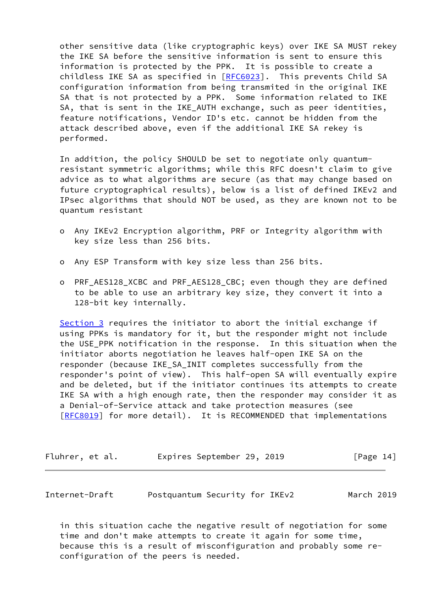other sensitive data (like cryptographic keys) over IKE SA MUST rekey the IKE SA before the sensitive information is sent to ensure this information is protected by the PPK. It is possible to create a childless IKE SA as specified in [\[RFC6023](https://datatracker.ietf.org/doc/pdf/rfc6023)]. This prevents Child SA configuration information from being transmited in the original IKE SA that is not protected by a PPK. Some information related to IKE SA, that is sent in the IKE AUTH exchange, such as peer identities, feature notifications, Vendor ID's etc. cannot be hidden from the attack described above, even if the additional IKE SA rekey is performed.

 In addition, the policy SHOULD be set to negotiate only quantum resistant symmetric algorithms; while this RFC doesn't claim to give advice as to what algorithms are secure (as that may change based on future cryptographical results), below is a list of defined IKEv2 and IPsec algorithms that should NOT be used, as they are known not to be quantum resistant

- o Any IKEv2 Encryption algorithm, PRF or Integrity algorithm with key size less than 256 bits.
- o Any ESP Transform with key size less than 256 bits.
- o PRF\_AES128\_XCBC and PRF\_AES128\_CBC; even though they are defined to be able to use an arbitrary key size, they convert it into a 128-bit key internally.

[Section 3](#page-5-2) requires the initiator to abort the initial exchange if using PPKs is mandatory for it, but the responder might not include the USE\_PPK notification in the response. In this situation when the initiator aborts negotiation he leaves half-open IKE SA on the responder (because IKE\_SA\_INIT completes successfully from the responder's point of view). This half-open SA will eventually expire and be deleted, but if the initiator continues its attempts to create IKE SA with a high enough rate, then the responder may consider it as a Denial-of-Service attack and take protection measures (see [\[RFC8019](https://datatracker.ietf.org/doc/pdf/rfc8019)] for more detail). It is RECOMMENDED that implementations

| Fluhrer, et al. |  | Expires September 29, 2019 |  |  | [Page 14] |  |
|-----------------|--|----------------------------|--|--|-----------|--|
|-----------------|--|----------------------------|--|--|-----------|--|

<span id="page-15-0"></span>Internet-Draft Postquantum Security for IKEv2 March 2019

 in this situation cache the negative result of negotiation for some time and don't make attempts to create it again for some time, because this is a result of misconfiguration and probably some re configuration of the peers is needed.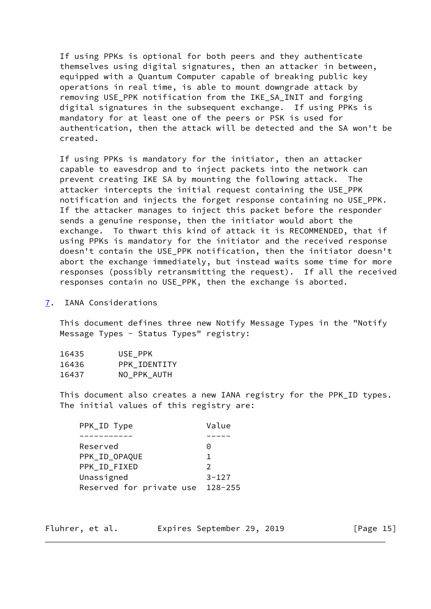If using PPKs is optional for both peers and they authenticate themselves using digital signatures, then an attacker in between, equipped with a Quantum Computer capable of breaking public key operations in real time, is able to mount downgrade attack by removing USE PPK notification from the IKE SA INIT and forging digital signatures in the subsequent exchange. If using PPKs is mandatory for at least one of the peers or PSK is used for authentication, then the attack will be detected and the SA won't be created.

 If using PPKs is mandatory for the initiator, then an attacker capable to eavesdrop and to inject packets into the network can prevent creating IKE SA by mounting the following attack. The attacker intercepts the initial request containing the USE\_PPK notification and injects the forget response containing no USE\_PPK. If the attacker manages to inject this packet before the responder sends a genuine response, then the initiator would abort the exchange. To thwart this kind of attack it is RECOMMENDED, that if using PPKs is mandatory for the initiator and the received response doesn't contain the USE\_PPK notification, then the initiator doesn't abort the exchange immediately, but instead waits some time for more responses (possibly retransmitting the request). If all the received responses contain no USE\_PPK, then the exchange is aborted.

<span id="page-16-0"></span>[7](#page-16-0). IANA Considerations

 This document defines three new Notify Message Types in the "Notify Message Types - Status Types" registry:

| 16435 | USE PPK      |
|-------|--------------|
| 16436 | PPK IDENTITY |
| 16437 | NO_PPK_AUTH  |

This document also creates a new IANA registry for the PPK ID types. The initial values of this registry are:

| PPK_ID Type              | Value         |
|--------------------------|---------------|
|                          |               |
| Reserved                 | 0             |
| PPK_ID_OPAQUE            | 1             |
| PPK ID FIXED             | $\mathcal{P}$ |
| Unassigned               | $3 - 127$     |
| Reserved for private use | $128 - 255$   |

 $[Page 15]$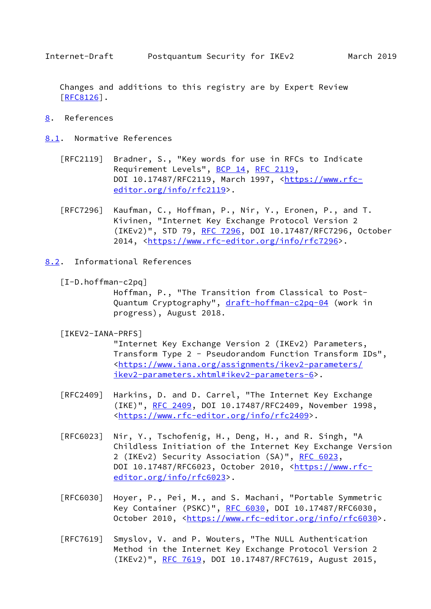<span id="page-17-1"></span> Changes and additions to this registry are by Expert Review [\[RFC8126](https://datatracker.ietf.org/doc/pdf/rfc8126)].

- <span id="page-17-0"></span>[8](#page-17-0). References
- <span id="page-17-2"></span>[8.1](#page-17-2). Normative References
	- [RFC2119] Bradner, S., "Key words for use in RFCs to Indicate Requirement Levels", [BCP 14](https://datatracker.ietf.org/doc/pdf/bcp14), [RFC 2119](https://datatracker.ietf.org/doc/pdf/rfc2119), DOI 10.17487/RFC2119, March 1997, [<https://www.rfc](https://www.rfc-editor.org/info/rfc2119) [editor.org/info/rfc2119](https://www.rfc-editor.org/info/rfc2119)>.
	- [RFC7296] Kaufman, C., Hoffman, P., Nir, Y., Eronen, P., and T. Kivinen, "Internet Key Exchange Protocol Version 2 (IKEv2)", STD 79, [RFC 7296](https://datatracker.ietf.org/doc/pdf/rfc7296), DOI 10.17487/RFC7296, October 2014, [<https://www.rfc-editor.org/info/rfc7296](https://www.rfc-editor.org/info/rfc7296)>.
- <span id="page-17-4"></span><span id="page-17-3"></span>[8.2](#page-17-3). Informational References
	- [I-D.hoffman-c2pq]

 Hoffman, P., "The Transition from Classical to Post Quantum Cryptography", [draft-hoffman-c2pq-04](https://datatracker.ietf.org/doc/pdf/draft-hoffman-c2pq-04) (work in progress), August 2018.

<span id="page-17-5"></span>[IKEV2-IANA-PRFS]

 "Internet Key Exchange Version 2 (IKEv2) Parameters, Transform Type 2 - Pseudorandom Function Transform IDs", <[https://www.iana.org/assignments/ikev2-parameters/](https://www.iana.org/assignments/ikev2-parameters/ikev2-parameters.xhtml#ikev2-parameters-6) [ikev2-parameters.xhtml#ikev2-parameters-6>](https://www.iana.org/assignments/ikev2-parameters/ikev2-parameters.xhtml#ikev2-parameters-6).

- [RFC2409] Harkins, D. and D. Carrel, "The Internet Key Exchange (IKE)", [RFC 2409,](https://datatracker.ietf.org/doc/pdf/rfc2409) DOI 10.17487/RFC2409, November 1998, <[https://www.rfc-editor.org/info/rfc2409>](https://www.rfc-editor.org/info/rfc2409).
- [RFC6023] Nir, Y., Tschofenig, H., Deng, H., and R. Singh, "A Childless Initiation of the Internet Key Exchange Version 2 (IKEv2) Security Association (SA)", [RFC 6023](https://datatracker.ietf.org/doc/pdf/rfc6023), DOI 10.17487/RFC6023, October 2010, [<https://www.rfc](https://www.rfc-editor.org/info/rfc6023) [editor.org/info/rfc6023](https://www.rfc-editor.org/info/rfc6023)>.
- [RFC6030] Hoyer, P., Pei, M., and S. Machani, "Portable Symmetric Key Container (PSKC)", [RFC 6030](https://datatracker.ietf.org/doc/pdf/rfc6030), DOI 10.17487/RFC6030, October 2010, [<https://www.rfc-editor.org/info/rfc6030](https://www.rfc-editor.org/info/rfc6030)>.
- [RFC7619] Smyslov, V. and P. Wouters, "The NULL Authentication Method in the Internet Key Exchange Protocol Version 2 (IKEv2)", [RFC 7619](https://datatracker.ietf.org/doc/pdf/rfc7619), DOI 10.17487/RFC7619, August 2015,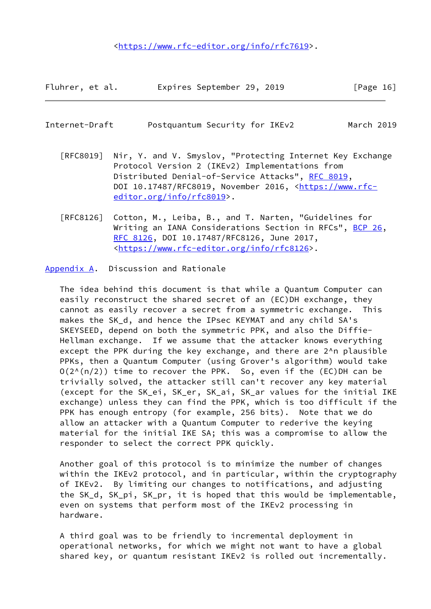<[https://www.rfc-editor.org/info/rfc7619>](https://www.rfc-editor.org/info/rfc7619).

| Fluhrer, et al. | Expires September 29, 2019 |  | [Page 16] |  |
|-----------------|----------------------------|--|-----------|--|
|                 |                            |  |           |  |

# <span id="page-18-1"></span>Internet-Draft Postquantum Security for IKEv2 March 2019

- [RFC8019] Nir, Y. and V. Smyslov, "Protecting Internet Key Exchange Protocol Version 2 (IKEv2) Implementations from Distributed Denial-of-Service Attacks", [RFC 8019,](https://datatracker.ietf.org/doc/pdf/rfc8019) DOI 10.17487/RFC8019, November 2016, [<https://www.rfc](https://www.rfc-editor.org/info/rfc8019) [editor.org/info/rfc8019](https://www.rfc-editor.org/info/rfc8019)>.
- [RFC8126] Cotton, M., Leiba, B., and T. Narten, "Guidelines for Writing an IANA Considerations Section in RFCs", [BCP 26](https://datatracker.ietf.org/doc/pdf/bcp26), [RFC 8126,](https://datatracker.ietf.org/doc/pdf/rfc8126) DOI 10.17487/RFC8126, June 2017, <[https://www.rfc-editor.org/info/rfc8126>](https://www.rfc-editor.org/info/rfc8126).

<span id="page-18-0"></span>[Appendix A.](#page-18-0) Discussion and Rationale

 The idea behind this document is that while a Quantum Computer can easily reconstruct the shared secret of an (EC)DH exchange, they cannot as easily recover a secret from a symmetric exchange. This makes the SK\_d, and hence the IPsec KEYMAT and any child SA's SKEYSEED, depend on both the symmetric PPK, and also the Diffie- Hellman exchange. If we assume that the attacker knows everything except the PPK during the key exchange, and there are 2^n plausible PPKs, then a Quantum Computer (using Grover's algorithm) would take  $O(2^{N}(n/2))$  time to recover the PPK. So, even if the (EC)DH can be trivially solved, the attacker still can't recover any key material (except for the SK\_ei, SK\_er, SK\_ai, SK\_ar values for the initial IKE exchange) unless they can find the PPK, which is too difficult if the PPK has enough entropy (for example, 256 bits). Note that we do allow an attacker with a Quantum Computer to rederive the keying material for the initial IKE SA; this was a compromise to allow the responder to select the correct PPK quickly.

 Another goal of this protocol is to minimize the number of changes within the IKEv2 protocol, and in particular, within the cryptography of IKEv2. By limiting our changes to notifications, and adjusting the SK\_d, SK\_pi, SK\_pr, it is hoped that this would be implementable, even on systems that perform most of the IKEv2 processing in hardware.

 A third goal was to be friendly to incremental deployment in operational networks, for which we might not want to have a global shared key, or quantum resistant IKEv2 is rolled out incrementally.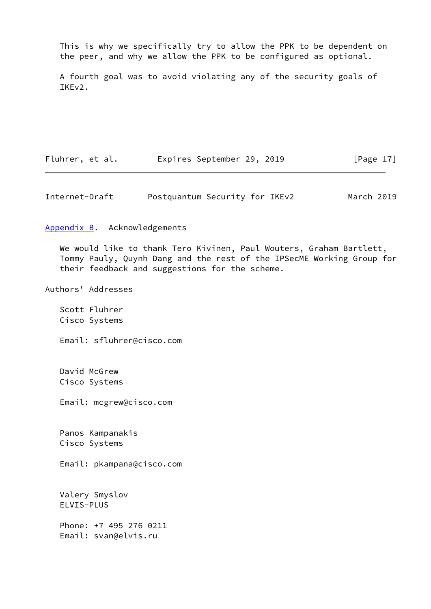This is why we specifically try to allow the PPK to be dependent on the peer, and why we allow the PPK to be configured as optional.

 A fourth goal was to avoid violating any of the security goals of IKEv2.

Fluhrer, et al. Expires September 29, 2019 [Page 17]

<span id="page-19-1"></span>Internet-Draft Postquantum Security for IKEv2 March 2019

<span id="page-19-0"></span>[Appendix B.](#page-19-0) Acknowledgements

 We would like to thank Tero Kivinen, Paul Wouters, Graham Bartlett, Tommy Pauly, Quynh Dang and the rest of the IPSecME Working Group for their feedback and suggestions for the scheme.

Authors' Addresses

 Scott Fluhrer Cisco Systems

Email: sfluhrer@cisco.com

 David McGrew Cisco Systems

Email: mcgrew@cisco.com

 Panos Kampanakis Cisco Systems

Email: pkampana@cisco.com

 Valery Smyslov ELVIS-PLUS

 Phone: +7 495 276 0211 Email: svan@elvis.ru